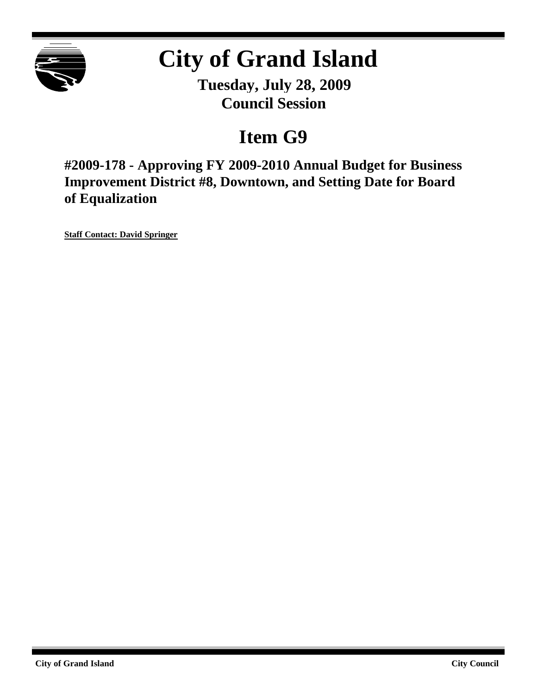

# **City of Grand Island**

**Tuesday, July 28, 2009 Council Session**

## **Item G9**

**#2009-178 - Approving FY 2009-2010 Annual Budget for Business Improvement District #8, Downtown, and Setting Date for Board of Equalization**

**Staff Contact: David Springer**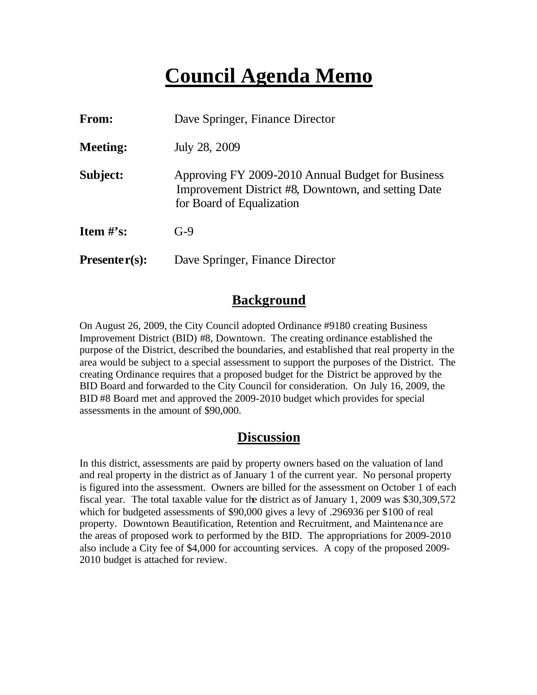## **Council Agenda Memo**

| From:           | Dave Springer, Finance Director                                                                                                       |
|-----------------|---------------------------------------------------------------------------------------------------------------------------------------|
| <b>Meeting:</b> | July 28, 2009                                                                                                                         |
| Subject:        | Approving FY 2009-2010 Annual Budget for Business<br>Improvement District #8, Downtown, and setting Date<br>for Board of Equalization |
| Item $#$ 's:    | $G-9$                                                                                                                                 |
| $Presenter(s):$ | Dave Springer, Finance Director                                                                                                       |

#### **Background**

On August 26, 2009, the City Council adopted Ordinance #9180 creating Business Improvement District (BID) #8, Downtown. The creating ordinance established the purpose of the District, described the boundaries, and established that real property in the area would be subject to a special assessment to support the purposes of the District. The creating Ordinance requires that a proposed budget for the District be approved by the BID Board and forwarded to the City Council for consideration. On July 16, 2009, the BID #8 Board met and approved the 2009-2010 budget which provides for special assessments in the amount of \$90,000.

#### **Discussion**

In this district, assessments are paid by property owners based on the valuation of land and real property in the district as of January 1 of the current year. No personal property is figured into the assessment. Owners are billed for the assessment on October 1 of each fiscal year. The total taxable value for the district as of January 1, 2009 was \$30,309,572 which for budgeted assessments of \$90,000 gives a levy of .296936 per \$100 of real property. Downtown Beautification, Retention and Recruitment, and Maintenance are the areas of proposed work to performed by the BID. The appropriations for 2009-2010 also include a City fee of \$4,000 for accounting services. A copy of the proposed 2009- 2010 budget is attached for review.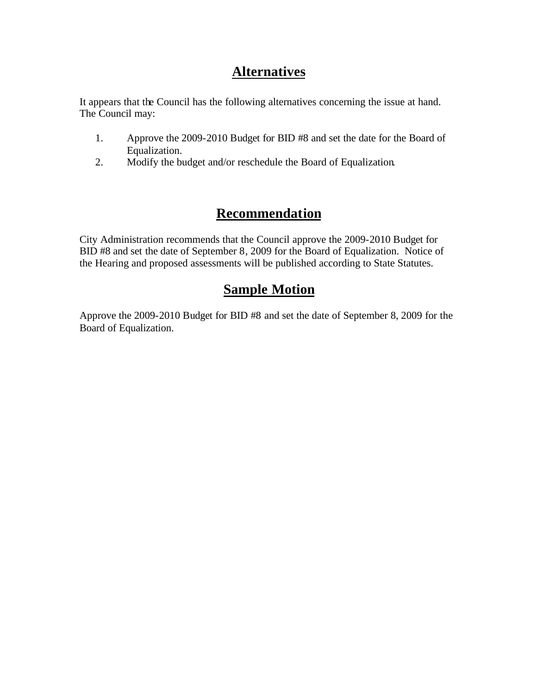### **Alternatives**

It appears that the Council has the following alternatives concerning the issue at hand. The Council may:

- 1. Approve the 2009-2010 Budget for BID #8 and set the date for the Board of Equalization.
- 2. Modify the budget and/or reschedule the Board of Equalization.

## **Recommendation**

City Administration recommends that the Council approve the 2009-2010 Budget for BID #8 and set the date of September 8, 2009 for the Board of Equalization. Notice of the Hearing and proposed assessments will be published according to State Statutes.

### **Sample Motion**

Approve the 2009-2010 Budget for BID #8 and set the date of September 8, 2009 for the Board of Equalization.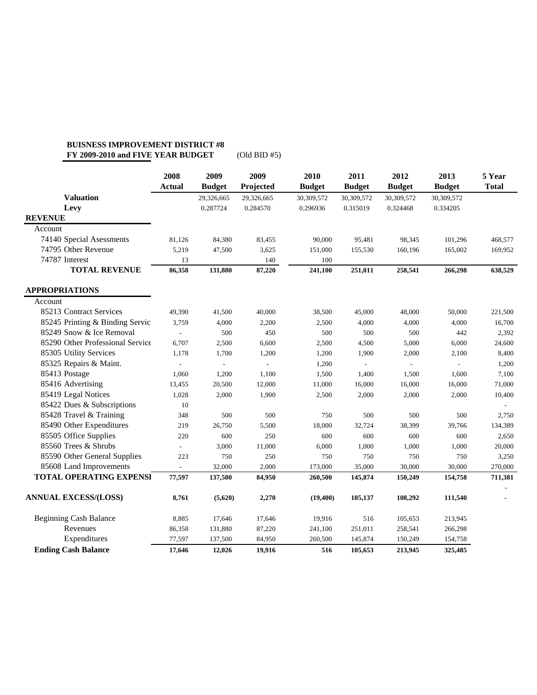#### **BUISNESS IMPROVEMENT DISTRICT #8 FY 2009-2010 and FIVE YEAR BUDGET** (Old BID #5)

|                                  | 2008<br><b>Actual</b>    | 2009<br><b>Budget</b> | 2009<br>Projected           | 2010<br><b>Budget</b> | 2011<br><b>Budget</b>    | 2012<br><b>Budget</b>    | 2013<br><b>Budget</b> | 5 Year<br><b>Total</b> |
|----------------------------------|--------------------------|-----------------------|-----------------------------|-----------------------|--------------------------|--------------------------|-----------------------|------------------------|
| <b>Valuation</b>                 |                          | 29,326,665            | 29,326,665                  | 30,309,572            | 30,309,572               | 30,309,572               | 30,309,572            |                        |
| Levy                             |                          | 0.287724              | 0.284570                    | 0.296936              | 0.315019                 | 0.324468                 | 0.334205              |                        |
| <b>REVENUE</b>                   |                          |                       |                             |                       |                          |                          |                       |                        |
| Account                          |                          |                       |                             |                       |                          |                          |                       |                        |
| 74140 Special Asessments         | 81,126                   | 84,380                | 83,455                      | 90,000                | 95,481                   | 98,345                   | 101,296               | 468,577                |
| 74795 Other Revenue              | 5,219                    | 47,500                | 3,625                       | 151,000               | 155,530                  | 160,196                  | 165,002               | 169,952                |
| 74787 Interest                   | 13                       |                       | 140                         | 100                   |                          |                          |                       |                        |
| <b>TOTAL REVENUE</b>             | 86,358                   | 131,880               | 87,220                      | 241,100               | 251,011                  | 258,541                  | 266,298               | 638,529                |
| <b>APPROPRIATIONS</b>            |                          |                       |                             |                       |                          |                          |                       |                        |
| Account                          |                          |                       |                             |                       |                          |                          |                       |                        |
| 85213 Contract Services          | 49,390                   | 41,500                | 40,000                      | 38,500                | 45,000                   | 48,000                   | 50,000                | 221,500                |
| 85245 Printing & Binding Servic  | 3,759                    | 4,000                 | 2,200                       | 2,500                 | 4,000                    | 4,000                    | 4,000                 | 16,700                 |
| 85249 Snow & Ice Removal         | $\sim$                   | 500                   | 450                         | 500                   | 500                      | 500                      | 442                   | 2,392                  |
| 85290 Other Professional Service | 6,707                    | 2,500                 | 6,600                       | 2,500                 | 4,500                    | 5,000                    | 6,000                 | 24,600                 |
| 85305 Utility Services           | 1,178                    | 1,700                 | 1,200                       | 1,200                 | 1,900                    | 2,000                    | 2,100                 | 8,400                  |
| 85325 Repairs & Maint.           | $\overline{\phantom{a}}$ | $\overline{a}$        | $\mathcal{L}_{\mathcal{A}}$ | 1,200                 | $\overline{\phantom{a}}$ | $\overline{\phantom{a}}$ |                       | 1,200                  |
| 85413 Postage                    | 1,060                    | 1,200                 | 1,100                       | 1,500                 | 1,400                    | 1,500                    | 1,600                 | 7,100                  |
| 85416 Advertising                | 13,455                   | 20,500                | 12,000                      | 11,000                | 16,000                   | 16,000                   | 16,000                | 71,000                 |
| 85419 Legal Notices              | 1,028                    | 2,000                 | 1,900                       | 2,500                 | 2,000                    | 2,000                    | 2,000                 | 10,400                 |
| 85422 Dues & Subscriptions       | 10                       |                       |                             |                       |                          |                          |                       |                        |
| 85428 Travel & Training          | 348                      | 500                   | 500                         | 750                   | 500                      | 500                      | 500                   | 2,750                  |
| 85490 Other Expenditures         | 219                      | 26,750                | 5,500                       | 18,000                | 32,724                   | 38,399                   | 39,766                | 134,389                |
| 85505 Office Supplies            | 220                      | 600                   | 250                         | 600                   | 600                      | 600                      | 600                   | 2,650                  |
| 85560 Trees & Shrubs             | $\overline{\phantom{a}}$ | 3,000                 | 11,000                      | 6,000                 | 1,000                    | 1,000                    | 1,000                 | 20,000                 |
| 85590 Other General Supplies     | 223                      | 750                   | 250                         | 750                   | 750                      | 750                      | 750                   | 3,250                  |
| 85608 Land Improvements          | $\overline{\phantom{a}}$ | 32,000                | 2,000                       | 173,000               | 35,000                   | 30,000                   | 30,000                | 270,000                |
| <b>TOTAL OPERATING EXPENSI</b>   | 77,597                   | 137,500               | 84,950                      | 260,500               | 145,874                  | 150,249                  | 154,758               | 711,381                |
| <b>ANNUAL EXCESS/(LOSS)</b>      | 8,761                    | (5,620)               | 2,270                       | (19,400)              | 105,137                  | 108,292                  | 111,540               |                        |
| <b>Beginning Cash Balance</b>    | 8,885                    | 17,646                | 17,646                      | 19,916                | 516                      | 105,653                  | 213,945               |                        |
| Revenues                         | 86,358                   | 131,880               | 87,220                      | 241,100               | 251,011                  | 258,541                  | 266,298               |                        |
| Expenditures                     | 77,597                   | 137,500               | 84,950                      | 260,500               | 145,874                  | 150,249                  | 154,758               |                        |
| <b>Ending Cash Balance</b>       | 17,646                   | 12,026                | 19,916                      | 516                   | 105,653                  | 213,945                  | 325,485               |                        |